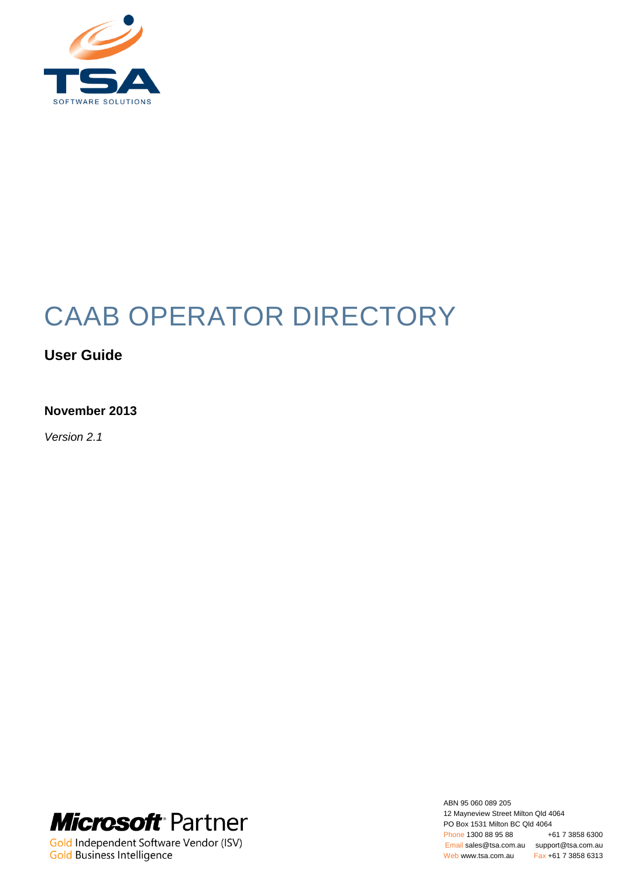

# CAAB OPERATOR DIRECTORY

# **User Guide**

# **November 2013**

*Version 2.1*



Gold Independent Software Vendor (ISV) Gold Business Intelligence

ABN 95 060 089 205 12 Mayneview Street Milton Qld 4064 PO Box 1531 Milton BC Qld 4064<br>Phone 1300 88 95 88 +61 7 3858 6300 Phone 1300 88 95 88 Email sales@tsa.com.au support@tsa.com.au Web www.tsa.com.au Fax +61 7 3858 6313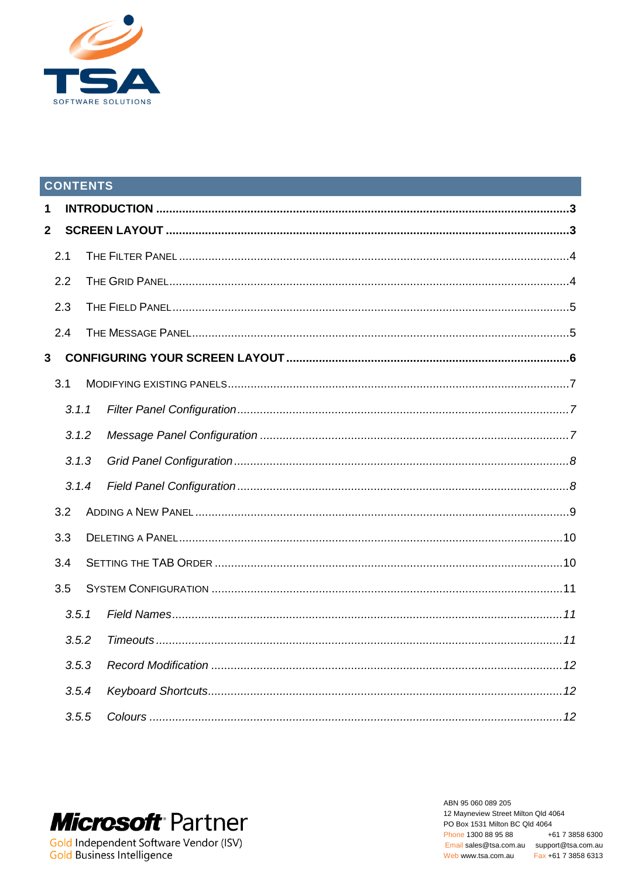

# **CONTENTS**

| 1              |       |  |
|----------------|-------|--|
| $\overline{2}$ |       |  |
|                | 2.1   |  |
|                | 2.2   |  |
|                | 2.3   |  |
|                | 2.4   |  |
| 3              |       |  |
|                | 3.1   |  |
|                | 3.1.1 |  |
|                | 3.1.2 |  |
|                | 3.1.3 |  |
|                | 3.1.4 |  |
|                | 3.2   |  |
|                | 3.3   |  |
|                | 3.4   |  |
|                | 3.5   |  |
|                | 3.5.1 |  |
|                | 3.5.2 |  |
|                | 3.5.3 |  |
|                | 3.5.4 |  |
|                | 3.5.5 |  |
|                |       |  |



ABN 95 060 089 205 12 Mayneview Street Milton Qld 4064 PO Box 1531 Milton BC Qld 4064 +61 7 3858 6300 Phone 1300 88 95 88 Email sales@tsa.com.au support@tsa.com.au Web www.tsa.com.au Fax +61 7 3858 6313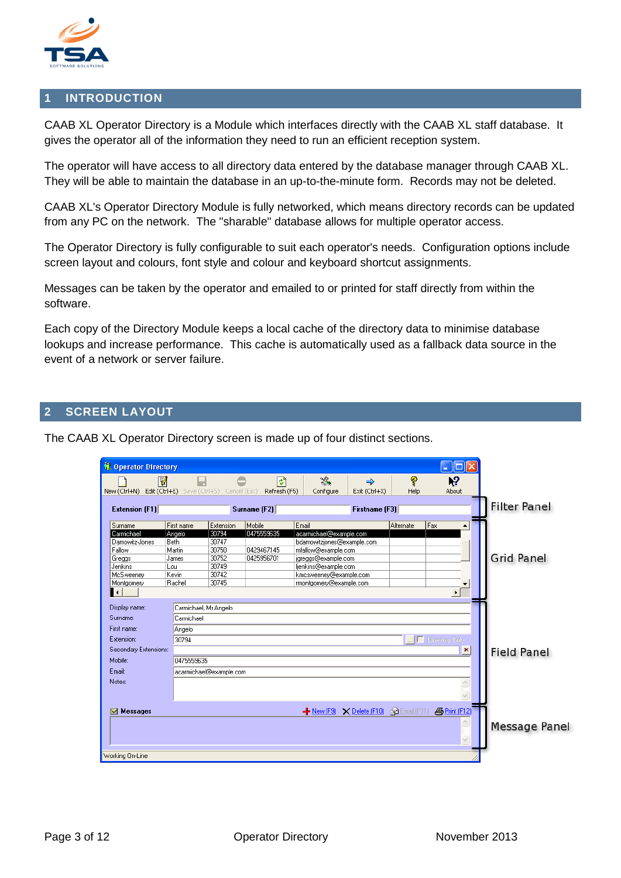

#### <span id="page-2-0"></span>**1 INTRODUCTION**

CAAB XL Operator Directory is a Module which interfaces directly with the CAAB XL staff database. It gives the operator all of the information they need to run an efficient reception system.

The operator will have access to all directory data entered by the database manager through CAAB XL. They will be able to maintain the database in an up-to-the-minute form. Records may not be deleted.

CAAB XL's Operator Directory Module is fully networked, which means directory records can be updated from any PC on the network. The "sharable" database allows for multiple operator access.

The Operator Directory is fully configurable to suit each operator's needs. Configuration options include screen layout and colours, font style and colour and keyboard shortcut assignments.

Messages can be taken by the operator and emailed to or printed for staff directly from within the software.

Each copy of the Directory Module keeps a local cache of the directory data to minimise database lookups and increase performance. This cache is automatically used as a fallback data source in the event of a network or server failure.

#### <span id="page-2-1"></span>**2 SCREEN LAYOUT**

The CAAB XL Operator Directory screen is made up of four distinct sections.

| <b>Operator Directory</b> |                             |                         |              |                                       |                |           | п<br>a.                     |                      |
|---------------------------|-----------------------------|-------------------------|--------------|---------------------------------------|----------------|-----------|-----------------------------|----------------------|
| V                         |                             |                         | 취            | $\mathcal{R}_\bullet$                 | ➾              | 7         | 12                          |                      |
| New (Ctrl+N)              | Edit (Ctrl+E) Save (Ctrl+S) | Cancel (Esc)            | Refresh (F5) | Configure                             | Exit (Ctrl+X)  | Help      | About                       |                      |
| <b>Extension (F1)</b>     |                             |                         | Surname [F2] |                                       | Firstname [F3] |           |                             | <b>Filter Panel</b>  |
| Surname                   | First name                  | Extension               | Mobile       | Email                                 |                | Alternate | Fax                         |                      |
| Carmichael                | Angelo                      | 30794                   | 0475559635   | acarmichael@example.com               |                |           |                             |                      |
| Damowitz-Jones            | Beth                        | 30747                   |              | bdamowitzjones@example.com            |                |           |                             |                      |
| Fallow                    | Martin                      | 30750                   | 0429467145   | mfallow@example.com                   |                |           |                             |                      |
| Greggs                    | James                       | 30752                   | 0425956701   | jgreggs@example.com                   |                |           |                             | <b>Grid Panel</b>    |
| Jenkins                   | Lou                         | 30749                   |              | ljenkins@example.com                  |                |           |                             |                      |
| McSweeney                 | Kevin                       | 30742                   |              | kmcsweeney@example.com                |                |           |                             |                      |
| Montgomery                | Rachel                      | 30745                   |              | rmontgomery@example.com               |                |           |                             |                      |
| $\blacktriangleleft$      |                             |                         |              |                                       |                |           | $\blacktriangleright$       |                      |
|                           |                             |                         |              |                                       |                |           |                             |                      |
| Display name:             | Carmichael, Mr Angelo       |                         |              |                                       |                |           |                             |                      |
| Surname:                  | Carmichael                  |                         |              |                                       |                |           |                             |                      |
| First name:               | Angelo                      |                         |              |                                       |                |           |                             |                      |
| Extension:                | 30794                       |                         |              |                                       |                |           | □ Directory Only            |                      |
| Secondary Extensions:     |                             |                         |              |                                       |                |           | $\pmb{\times}$              | <b>Field Panel</b>   |
| Mobile:                   | 0475559635                  |                         |              |                                       |                |           |                             |                      |
| Email:                    |                             | acarmichael@example.com |              |                                       |                |           |                             |                      |
| Notes:                    |                             |                         |              |                                       |                |           |                             |                      |
|                           |                             |                         |              |                                       |                |           |                             |                      |
|                           |                             |                         |              |                                       |                |           |                             |                      |
| <b>Messages</b><br>ឃ      |                             |                         |              | New (F9) X Delete (F10) @ Email (F11) |                |           | <b><i>A</i></b> Print (F12) |                      |
|                           |                             |                         |              |                                       |                |           |                             |                      |
|                           |                             |                         |              |                                       |                |           |                             | <b>Message Panel</b> |
|                           |                             |                         |              |                                       |                |           | $\overline{\mathbf{v}}$     |                      |
|                           |                             |                         |              |                                       |                |           |                             |                      |
| Working On-Line           |                             |                         |              |                                       |                |           |                             |                      |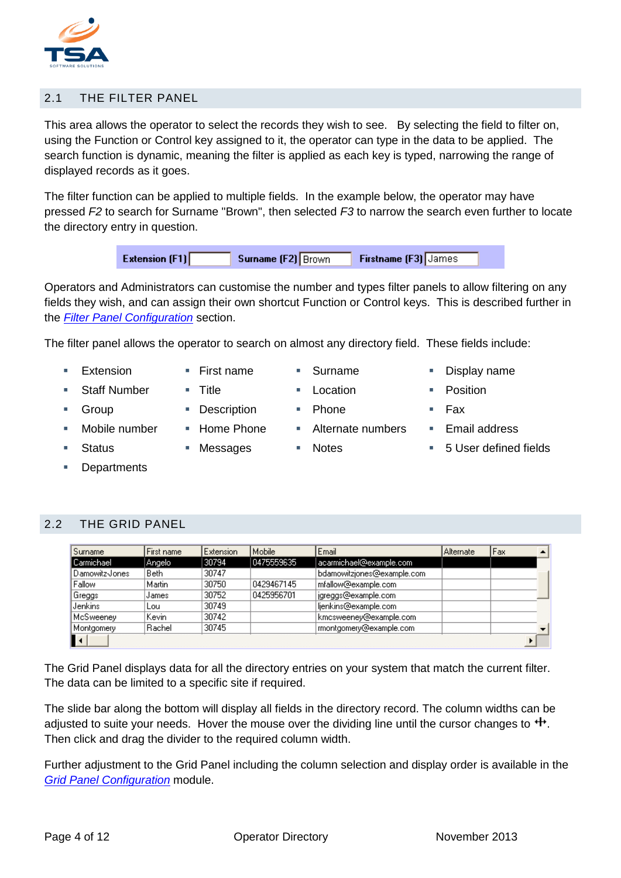

## <span id="page-3-0"></span>2.1 THE FILTER PANEL

This area allows the operator to select the records they wish to see. By selecting the field to filter on, using the Function or Control key assigned to it, the operator can type in the data to be applied. The search function is dynamic, meaning the filter is applied as each key is typed, narrowing the range of displayed records as it goes.

The filter function can be applied to multiple fields. In the example below, the operator may have pressed *F2* to search for Surname "Brown", then selected *F3* to narrow the search even further to locate the directory entry in question.

| Surname (F2) Brown<br><b>Firstname (F3)</b> James | <b>Extension (F1)</b> |  |  |  |  |  |
|---------------------------------------------------|-----------------------|--|--|--|--|--|
|---------------------------------------------------|-----------------------|--|--|--|--|--|

Operators and Administrators can customise the number and types filter panels to allow filtering on any fields they wish, and can assign their own shortcut Function or Control keys. This is described further in the *[Filter Panel Configuration](#page-6-1)* section.

The filter panel allows the operator to search on almost any directory field. These fields include:

- Extension First name Surname Display name
	- Staff Number **Title Conserver II** Location **CONS** Position
- Group **Description** Phone Fax
	-
- 
- 
- 
- 
- 
- 
- 
- 
- 
- Mobile number Home Phone Alternate numbers Email address
- Status Messages Notes 5 User defined fields
- **Departments**

# <span id="page-3-1"></span>2.2 THE GRID PANEL

| Surname        | First name | <b>Extension</b> | Mobile     | Email                      | <u>l Alternate</u> | Fax |  |
|----------------|------------|------------------|------------|----------------------------|--------------------|-----|--|
| Carmichael     | Angelo     | 30794            | 0475559635 | acarmichael@example.com    |                    |     |  |
| Damowitz-Jones | Beth       | 30747            |            | bdamowitzjones@example.com |                    |     |  |
| Fallow         | Martin.    | 30750            | 0429467145 | mfallow@example.com        |                    |     |  |
| Greggs         | IJames,    | 30752            | 0425956701 | jgreggs@example.com        |                    |     |  |
| Jenkins        | Lou        | 30749            |            | ljenkins@example.com       |                    |     |  |
| McSweeney      | Kevin      | 30742            |            | kmcsweeney@example.com     |                    |     |  |
| Montgomery     | Rachel     | 30745            |            | montgomery@example.com     |                    |     |  |
|                |            |                  |            |                            |                    |     |  |

The Grid Panel displays data for all the directory entries on your system that match the current filter. The data can be limited to a specific site if required.

The slide bar along the bottom will display all fields in the directory record. The column widths can be adjusted to suite your needs. Hover the mouse over the dividing line until the cursor changes to  $\ddot{+}$ . Then click and drag the divider to the required column width.

Further adjustment to the Grid Panel including the column selection and display order is available in the *[Grid Panel Configuration](#page-7-0)* module.

- 
-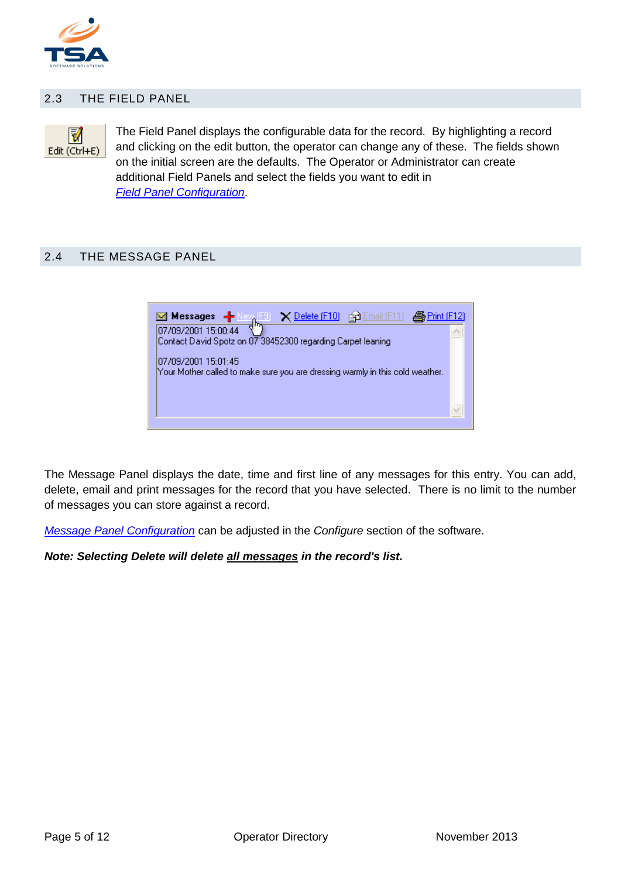

#### <span id="page-4-0"></span>2.3 THE FIELD PANEL



The Field Panel displays the configurable data for the record. By highlighting a record and clicking on the edit button, the operator can change any of these. The fields shown on the initial screen are the defaults. The Operator or Administrator can create additional Field Panels and select the fields you want to edit in *[Field Panel Configuration](#page-7-1)*.

#### <span id="page-4-1"></span>2.4 THE MESSAGE PANEL



The Message Panel displays the date, time and first line of any messages for this entry. You can add, delete, email and print messages for the record that you have selected. There is no limit to the number of messages you can store against a record.

*[Message Panel Configuration](#page-6-2)* can be adjusted in the *Configure* section of the software.

*Note: Selecting Delete will delete all messages in the record's list.*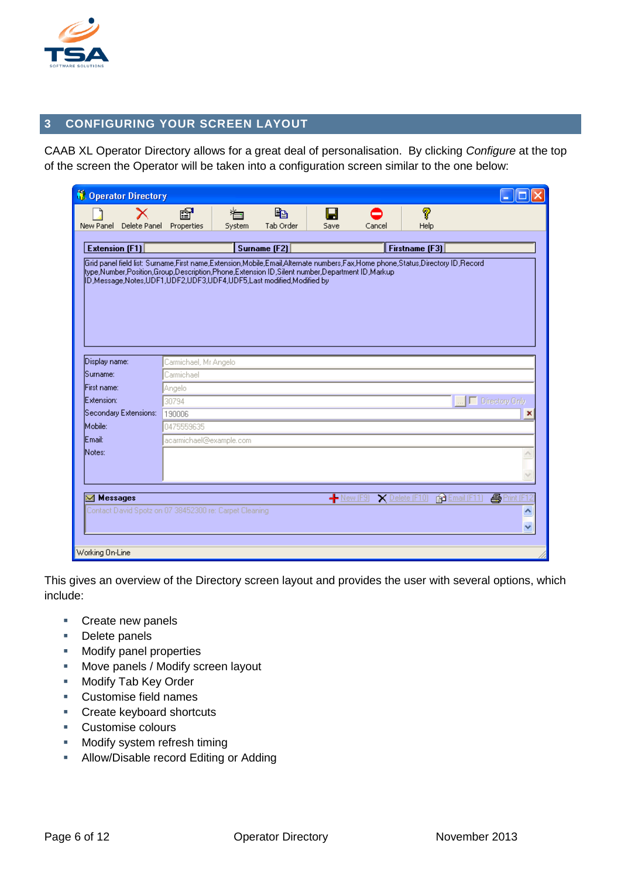

# <span id="page-5-0"></span>**3 CONFIGURING YOUR SCREEN LAYOUT**

CAAB XL Operator Directory allows for a great deal of personalisation. By clicking *Configure* at the top of the screen the Operator will be taken into a configuration screen similar to the one below:

| <b>COperator Directory</b>                                                                                                                                                                                                   |                           |              |                             |           |        |                |   |  |  |
|------------------------------------------------------------------------------------------------------------------------------------------------------------------------------------------------------------------------------|---------------------------|--------------|-----------------------------|-----------|--------|----------------|---|--|--|
| X<br>New Panel<br>Delete Panel                                                                                                                                                                                               | é?<br>Properties          | ▓⊟<br>System | e <sub>b</sub><br>Tab Order | н<br>Save | Cancel | 7<br>Help      |   |  |  |
|                                                                                                                                                                                                                              |                           |              |                             |           |        |                |   |  |  |
| <b>Extension (F1)</b>                                                                                                                                                                                                        |                           |              | Surname [F2]                |           |        | Firstname (F3) |   |  |  |
| Grid panel field list: Surname,First name,Extension,Mobile,Email,Alternate numbers,Fax,Home phone,Status,Directory ID,Record<br>type,Number,Position,Group,Description,Phone,Extension ID,Silent number,Department ID,Markup |                           |              |                             |           |        |                |   |  |  |
| ID,Message,Notes,UDF1,UDF2,UDF3,UDF4,UDF5,Last modified,Modified by                                                                                                                                                          |                           |              |                             |           |        |                |   |  |  |
|                                                                                                                                                                                                                              |                           |              |                             |           |        |                |   |  |  |
|                                                                                                                                                                                                                              |                           |              |                             |           |        |                |   |  |  |
|                                                                                                                                                                                                                              |                           |              |                             |           |        |                |   |  |  |
|                                                                                                                                                                                                                              |                           |              |                             |           |        |                |   |  |  |
|                                                                                                                                                                                                                              |                           |              |                             |           |        |                |   |  |  |
| Display name:                                                                                                                                                                                                                | Carmichael, Mr Angelo     |              |                             |           |        |                |   |  |  |
| Sumame:                                                                                                                                                                                                                      | Carmichael                |              |                             |           |        |                |   |  |  |
| First name:                                                                                                                                                                                                                  | Angelo                    |              |                             |           |        |                |   |  |  |
| Extension:                                                                                                                                                                                                                   | □ Directory Only<br>30794 |              |                             |           |        |                |   |  |  |
| Secondary Extensions:                                                                                                                                                                                                        | 190006                    |              |                             |           |        |                |   |  |  |
| Mobile:                                                                                                                                                                                                                      | 0475559635                |              |                             |           |        |                |   |  |  |
| lEmail:                                                                                                                                                                                                                      | acarmichael@example.com   |              |                             |           |        |                |   |  |  |
| Notes:                                                                                                                                                                                                                       |                           |              |                             |           |        |                |   |  |  |
|                                                                                                                                                                                                                              |                           |              |                             |           |        |                |   |  |  |
|                                                                                                                                                                                                                              |                           |              |                             |           |        |                |   |  |  |
|                                                                                                                                                                                                                              |                           |              |                             |           |        |                |   |  |  |
| <b>马</b> Print [<br><b>Messages</b><br>图 Email (F11<br>$-$ New (F9)<br>$\times$ Delete (F10)                                                                                                                                 |                           |              |                             |           |        |                |   |  |  |
| Contact David Spotz on 07 38452300 re: Carpet Cleaning                                                                                                                                                                       |                           |              |                             |           |        |                | ۸ |  |  |
|                                                                                                                                                                                                                              |                           |              |                             |           |        |                | v |  |  |
|                                                                                                                                                                                                                              |                           |              |                             |           |        |                |   |  |  |
| Working On-Line                                                                                                                                                                                                              |                           |              |                             |           |        |                |   |  |  |

This gives an overview of the Directory screen layout and provides the user with several options, which include:

- **Create new panels**
- Delete panels
- **Modify panel properties**
- **Move panels / Modify screen layout**
- **Modify Tab Key Order**
- Customise field names
- **Create keyboard shortcuts**
- **Customise colours**
- **Modify system refresh timing**
- **Allow/Disable record Editing or Adding**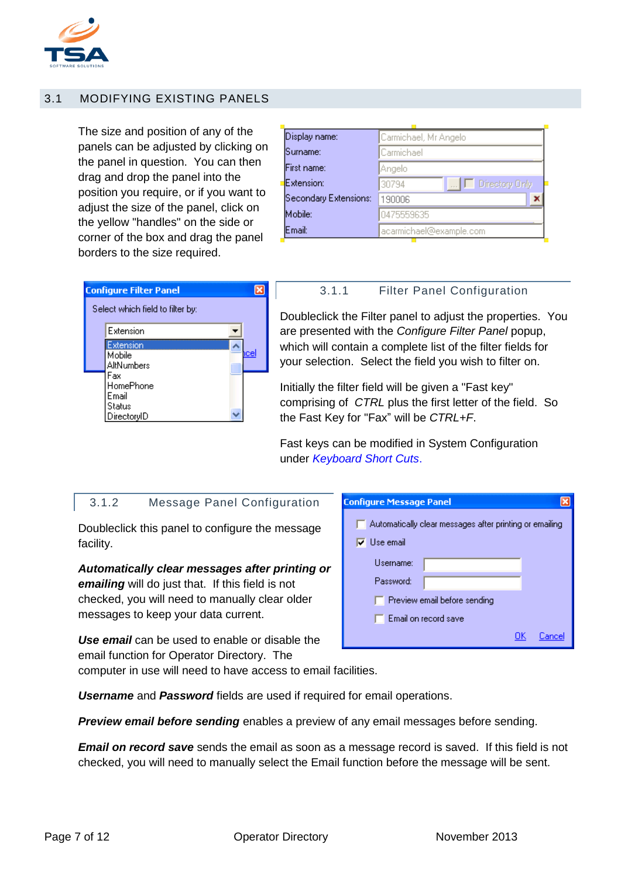<span id="page-6-2"></span>

# <span id="page-6-0"></span>3.1 MODIFYING EXISTING PANELS

The size and position of any of the panels can be adjusted by clicking on the panel in question. You can then drag and drop the panel into the position you require, or if you want to adjust the size of the panel, click on the yellow "handles" on the side or corner of the box and drag the panel borders to the size required.

| Display name:<br>Carmichael, Mr Angelo<br>Surname:<br> Carmichael<br>First name:<br>Angelo<br>Extension:<br>□ Directory Only<br>30794<br>Secondary Extensions:<br>190006<br>Mobile:<br>0475559635 |  |  |  |  |  |  |  |
|---------------------------------------------------------------------------------------------------------------------------------------------------------------------------------------------------|--|--|--|--|--|--|--|
|                                                                                                                                                                                                   |  |  |  |  |  |  |  |
|                                                                                                                                                                                                   |  |  |  |  |  |  |  |
|                                                                                                                                                                                                   |  |  |  |  |  |  |  |
|                                                                                                                                                                                                   |  |  |  |  |  |  |  |
|                                                                                                                                                                                                   |  |  |  |  |  |  |  |
|                                                                                                                                                                                                   |  |  |  |  |  |  |  |
| Email:<br>acarmichael@example.com                                                                                                                                                                 |  |  |  |  |  |  |  |

| <b>Configure Filter Panel</b>                      |  |      |
|----------------------------------------------------|--|------|
| Select which field to filter by:                   |  |      |
| Extension                                          |  |      |
| Extension<br>Mobile<br>AltNumbers                  |  | icel |
| Fax<br>HomePhone<br>Email<br>Status<br>DirectoryID |  |      |

#### <span id="page-6-1"></span>3.1.1 Filter Panel Configuration

Doubleclick the Filter panel to adjust the properties. You are presented with the *Configure Filter Panel* popup, which will contain a complete list of the filter fields for your selection. Select the field you wish to filter on.

Initially the filter field will be given a "Fast key" comprising of *CTRL* plus the first letter of the field. So the Fast Key for "Fax" will be *CTRL+F*.

Fast keys can be modified in System Configuration under *[Keyboard Short Cuts](#page-11-1)*.

#### 3.1.2 Message Panel Configuration

Doubleclick this panel to configure the message facility.

#### *Automatically clear messages after printing or emailing* will do just that. If this field is not

checked, you will need to manually clear older messages to keep your data current.

*Use email* can be used to enable or disable the email function for Operator Directory. The computer in use will need to have access to email facilities.

| Configure Message Panel                                                       |
|-------------------------------------------------------------------------------|
| Automatically clear messages after printing or emailing<br>$\nabla$ Use email |
| Username:                                                                     |
| Password:                                                                     |
| Preview email before sending                                                  |
| $\Box$ Email on record save                                                   |
|                                                                               |

*Username* and *Password* fields are used if required for email operations.

*Preview email before sending* enables a preview of any email messages before sending.

*Email on record save* sends the email as soon as a message record is saved. If this field is not checked, you will need to manually select the Email function before the message will be sent.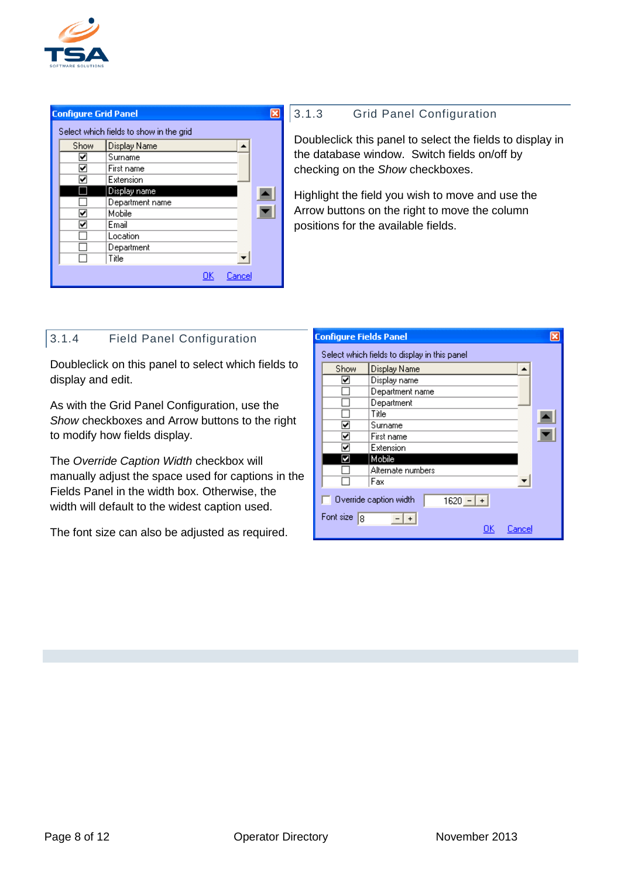

| <b>Configure Grid Panel</b> |                                         |  |
|-----------------------------|-----------------------------------------|--|
|                             | Select which fields to show in the grid |  |
| Show                        | Display Name                            |  |
| ⊡                           | Surname                                 |  |
| 罓                           | First name                              |  |
| M                           | Extension                               |  |
|                             | Display name                            |  |
|                             | Department name                         |  |
| ᢦ                           | Mobile                                  |  |
| ✓                           | Email                                   |  |
|                             | Location                                |  |
|                             | Department                              |  |
|                             | Title                                   |  |
|                             | Cancel<br>OΚ                            |  |

## <span id="page-7-0"></span>3.1.3 Grid Panel Configuration

Doubleclick this panel to select the fields to display in the database window. Switch fields on/off by checking on the *Show* checkboxes.

Highlight the field you wish to move and use the Arrow buttons on the right to move the column positions for the available fields.

# <span id="page-7-1"></span>3.1.4 Field Panel Configuration

Doubleclick on this panel to select which fields to display and edit.

As with the Grid Panel Configuration, use the *Show* checkboxes and Arrow buttons to the right to modify how fields display.

The *Override Caption Width* checkbox will manually adjust the space used for captions in the Fields Panel in the width box. Otherwise, the width will default to the widest caption used.

The font size can also be adjusted as required.

| <b>Configure Fields Panel</b>                         |                                              |  |  |  |  |  |  |  |
|-------------------------------------------------------|----------------------------------------------|--|--|--|--|--|--|--|
|                                                       | Select which fields to display in this panel |  |  |  |  |  |  |  |
| Display Name<br>Show                                  |                                              |  |  |  |  |  |  |  |
| Display name<br>☑                                     |                                              |  |  |  |  |  |  |  |
| Department name                                       |                                              |  |  |  |  |  |  |  |
| Department                                            |                                              |  |  |  |  |  |  |  |
| Title                                                 |                                              |  |  |  |  |  |  |  |
| Surname<br>է                                          |                                              |  |  |  |  |  |  |  |
| First name<br>☑                                       |                                              |  |  |  |  |  |  |  |
| Extension<br>▽                                        |                                              |  |  |  |  |  |  |  |
| Mobile<br>И                                           |                                              |  |  |  |  |  |  |  |
| Alternate numbers                                     |                                              |  |  |  |  |  |  |  |
| Fax                                                   |                                              |  |  |  |  |  |  |  |
| Override caption width<br>$1620 -   +  $<br>Font size |                                              |  |  |  |  |  |  |  |
| 8<br>UK<br>L'ance                                     |                                              |  |  |  |  |  |  |  |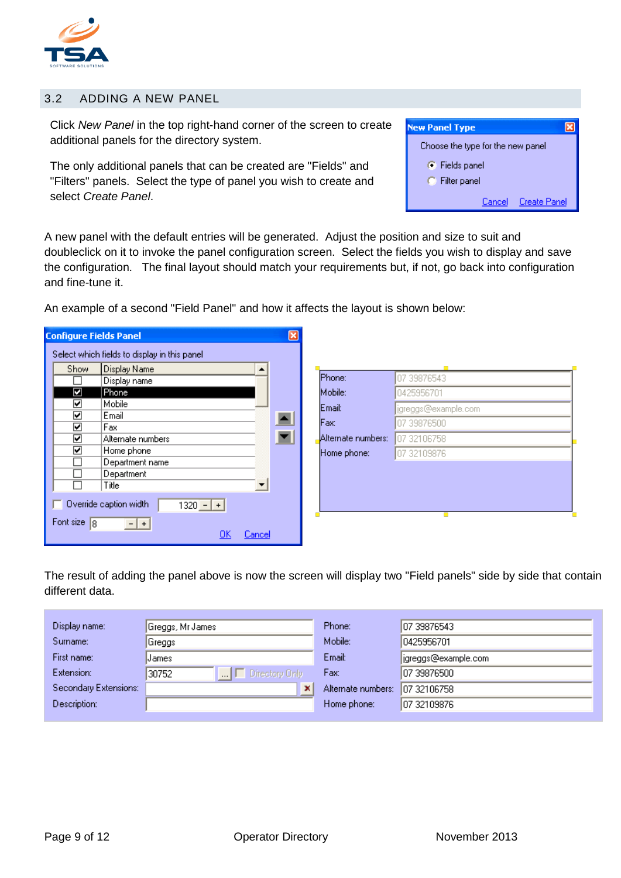

#### <span id="page-8-0"></span>3.2 ADDING A NEW PANEL

Click *New Panel* in the top right-hand corner of the screen to create additional panels for the directory system.

The only additional panels that can be created are "Fields" and "Filters" panels. Select the type of panel you wish to create and select *Create Panel*.



A new panel with the default entries will be generated. Adjust the position and size to suit and doubleclick on it to invoke the panel configuration screen. Select the fields you wish to display and save the configuration. The final layout should match your requirements but, if not, go back into configuration and fine-tune it.

An example of a second "Field Panel" and how it affects the layout is shown below:

| Display name<br>Ø<br>Phone<br>☑<br>Mobile |                   |                  |                    | 07 39876543         |
|-------------------------------------------|-------------------|------------------|--------------------|---------------------|
|                                           |                   |                  | Mobile:            | 0425956701          |
|                                           |                   |                  | Email:             | jgreggs@example.com |
| ☑<br>Email<br>☑<br>Fax                    |                   | $\blacktriangle$ | Fax:               | 07 39876500         |
| ☑                                         | Alternate numbers |                  | Alternate numbers: | 07 321 06758        |
| ☑<br>Home phone                           |                   |                  | Home phone:        | 07 32109876         |
| Department<br>Title                       | Department name   |                  |                    |                     |
| Override caption width                    | $1320 - +$        |                  |                    |                     |

The result of adding the panel above is now the screen will display two "Field panels" side by side that contain different data.

| Display name:         | Greggs, Mr James               | Phone:             | 07 39876543         |
|-----------------------|--------------------------------|--------------------|---------------------|
| Surname:              | Greggs                         | Mobile:            | 0425956701          |
| First name:           | James                          | Email:             | igreggs@example.com |
| Extension:            | $\Box$ Directory Only<br>30752 | Fax:               | 107 39876500        |
| Secondary Extensions: | ×                              | Alternate numbers: | 07 32106758         |
| Description:          |                                | Home phone:        | 107 32109876        |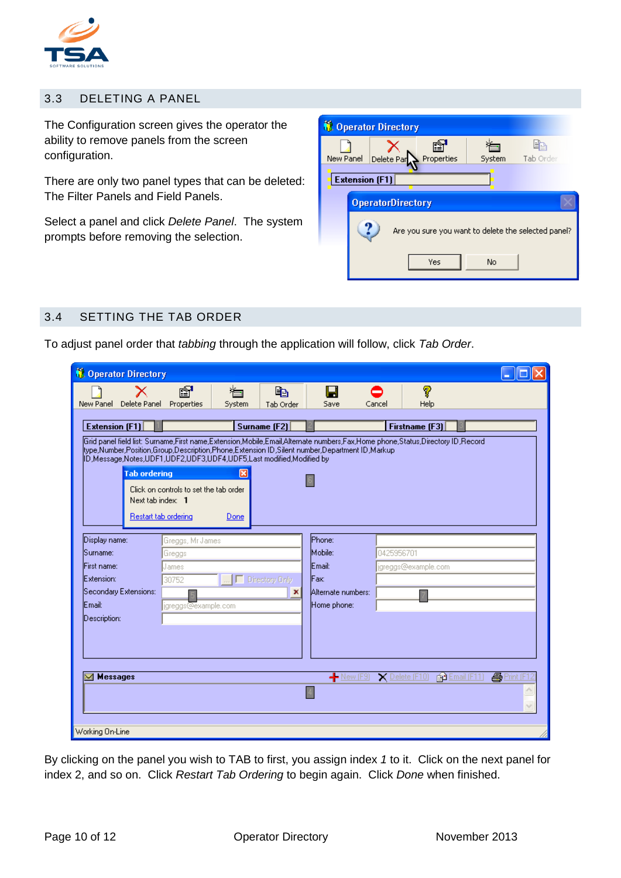

#### <span id="page-9-0"></span>3.3 DELETING A PANEL

The Configuration screen gives the operator the ability to remove panels from the screen configuration.

There are only two panel types that can be deleted: The Filter Panels and Field Panels.

Select a panel and click *Delete Panel*. The system prompts before removing the selection.

|           |                       | <b>Coperator Directory</b> |            |        |                                                     |
|-----------|-----------------------|----------------------------|------------|--------|-----------------------------------------------------|
| New Panel |                       | Delete Par                 | Properties | System | Tab Order                                           |
|           | <b>Extension (F1)</b> |                            |            |        |                                                     |
|           |                       | <b>OperatorDirectory</b>   |            |        |                                                     |
|           |                       |                            |            |        | Are you sure you want to delete the selected panel? |
|           |                       |                            | Yes        | No     |                                                     |

## <span id="page-9-1"></span>3.4 SETTING THE TAB ORDER

To adjust panel order that *tabbing* through the application will follow, click *Tab Order*.

| <b>C</b> Operator Directory |                       |                                        |                  |                  |                                                                                               |            |                                                                                                                                                |                                   |
|-----------------------------|-----------------------|----------------------------------------|------------------|------------------|-----------------------------------------------------------------------------------------------|------------|------------------------------------------------------------------------------------------------------------------------------------------------|-----------------------------------|
| New Panel                   | X<br>Delete Panel     | ☎<br>Properties                        | System           | la.<br>Tab Order | Save                                                                                          | Cancel     | 7<br>Help                                                                                                                                      |                                   |
|                             |                       |                                        |                  |                  |                                                                                               |            |                                                                                                                                                |                                   |
| <b>Extension (F1)</b>       |                       |                                        |                  | Surname [F2]     |                                                                                               |            | Firstname (F3)<br>Grid panel field list: Surname,First name,Extension,Mobile,Email,Alternate numbers,Fax,Home phone,Status,Directory ID,Record |                                   |
|                             |                       |                                        |                  |                  | ltype.Number.Position.Group.Description.Phone.Extension ID.Silent number.Department ID.Markup |            |                                                                                                                                                |                                   |
|                             | <b>Tab ordering</b>   |                                        | ×                |                  |                                                                                               |            |                                                                                                                                                |                                   |
|                             |                       | Click on controls to set the tab order |                  |                  |                                                                                               |            |                                                                                                                                                |                                   |
|                             | Next tab index: 1     |                                        |                  |                  |                                                                                               |            |                                                                                                                                                |                                   |
|                             | Restart tab ordering  |                                        | Done             |                  |                                                                                               |            |                                                                                                                                                |                                   |
|                             |                       |                                        |                  |                  | Phone:                                                                                        |            |                                                                                                                                                |                                   |
| Display name:<br> Surname:  |                       | Greggs, Mr James<br>Greggs             |                  |                  | Mobile:                                                                                       | 0425956701 |                                                                                                                                                |                                   |
| First name:                 |                       | James                                  |                  |                  | Email:                                                                                        |            | jgreggs@example.com                                                                                                                            |                                   |
| Extension:                  |                       | 30752                                  | □ Directory Only |                  | <b>Fax:</b>                                                                                   |            |                                                                                                                                                |                                   |
|                             | Secondary Extensions: |                                        |                  | ×                | Alternate numbers:                                                                            |            |                                                                                                                                                |                                   |
| lEmail:                     |                       | jgreggs@example.com                    |                  |                  | Home phone:                                                                                   |            |                                                                                                                                                |                                   |
| Description:                |                       |                                        |                  |                  |                                                                                               |            |                                                                                                                                                |                                   |
|                             |                       |                                        |                  |                  |                                                                                               |            |                                                                                                                                                |                                   |
|                             |                       |                                        |                  |                  |                                                                                               |            |                                                                                                                                                |                                   |
| <b>Messages</b>             |                       |                                        |                  |                  | $-$ New (F9)                                                                                  |            | $\times$ Delete (F10)                                                                                                                          | <b>马Print</b> [F<br>图 Email (F11) |
|                             |                       |                                        |                  |                  |                                                                                               |            |                                                                                                                                                |                                   |
|                             |                       |                                        |                  |                  |                                                                                               |            |                                                                                                                                                |                                   |
|                             |                       |                                        |                  |                  |                                                                                               |            |                                                                                                                                                |                                   |
| Working On-Line             |                       |                                        |                  |                  |                                                                                               |            |                                                                                                                                                |                                   |

By clicking on the panel you wish to TAB to first, you assign index *1* to it. Click on the next panel for index 2, and so on. Click *Restart Tab Ordering* to begin again. Click *Done* when finished.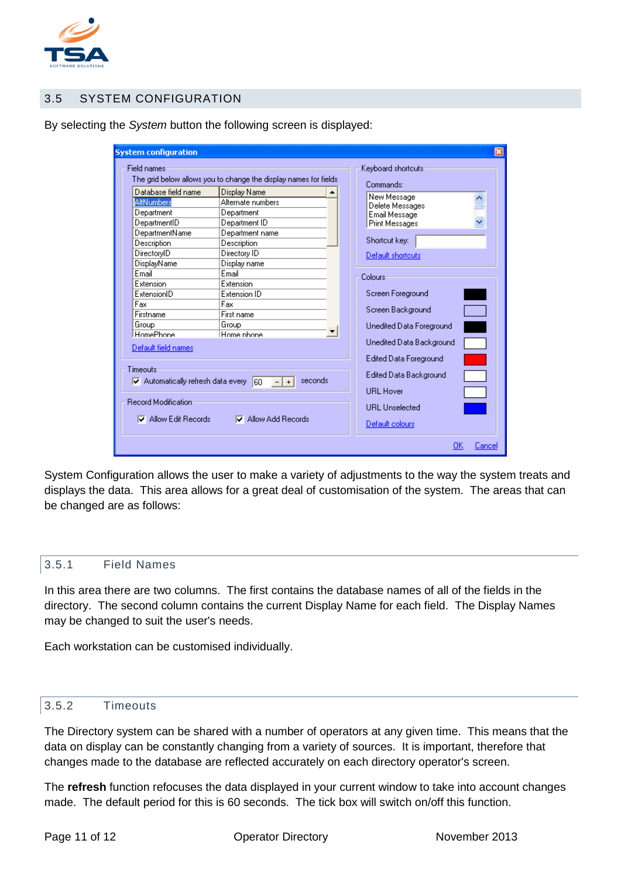

## <span id="page-10-0"></span>3.5 SYSTEM CONFIGURATION

|                                              | The grid below allows you to change the display names for fields | Commands:                     |  |  |  |
|----------------------------------------------|------------------------------------------------------------------|-------------------------------|--|--|--|
| Database field name                          | Display Name                                                     | New Message                   |  |  |  |
| <b>AltNumbers</b>                            | Alternate numbers                                                | Delete Messages               |  |  |  |
| Department                                   | Department                                                       | Email Message                 |  |  |  |
| DepartmentID                                 | Department ID                                                    | <b>Print Messages</b>         |  |  |  |
| DepartmentName                               | Department name                                                  |                               |  |  |  |
| Description                                  | Description                                                      | Shortcut key:                 |  |  |  |
| DirectoryID                                  | Directory ID                                                     | Default shortcuts             |  |  |  |
| DisplayName                                  | Display name                                                     |                               |  |  |  |
| Email                                        | Email                                                            | Colours                       |  |  |  |
| Extension                                    | Extension                                                        |                               |  |  |  |
| ExtensionID                                  | Extension ID                                                     | Screen Foreground             |  |  |  |
| Fax                                          | Fax                                                              | Screen Background             |  |  |  |
| Firstname                                    | First name                                                       |                               |  |  |  |
| Group                                        | Group                                                            | Unedited Data Foreground      |  |  |  |
| HomePhone                                    | Home phone                                                       | Unedited Data Background      |  |  |  |
| Default field names                          |                                                                  |                               |  |  |  |
|                                              |                                                                  | <b>Edited Data Foreground</b> |  |  |  |
| Timeouts                                     |                                                                  | Edited Data Background        |  |  |  |
| $\nabla$ Automatically refresh data every 60 | seconds<br>$+$                                                   |                               |  |  |  |
|                                              |                                                                  | <b>URL Hover</b>              |  |  |  |
| Record Modification                          |                                                                  | <b>URL</b> Unselected         |  |  |  |
|                                              |                                                                  |                               |  |  |  |

By selecting the *System* button the following screen is displayed:

System Configuration allows the user to make a variety of adjustments to the way the system treats and displays the data. This area allows for a great deal of customisation of the system. The areas that can be changed are as follows:

#### <span id="page-10-1"></span>3.5.1 Field Names

In this area there are two columns. The first contains the database names of all of the fields in the directory. The second column contains the current Display Name for each field. The Display Names may be changed to suit the user's needs.

Each workstation can be customised individually.

#### <span id="page-10-2"></span>3.5.2 Timeouts

The Directory system can be shared with a number of operators at any given time. This means that the data on display can be constantly changing from a variety of sources. It is important, therefore that changes made to the database are reflected accurately on each directory operator's screen.

The **refresh** function refocuses the data displayed in your current window to take into account changes made. The default period for this is 60 seconds. The tick box will switch on/off this function.